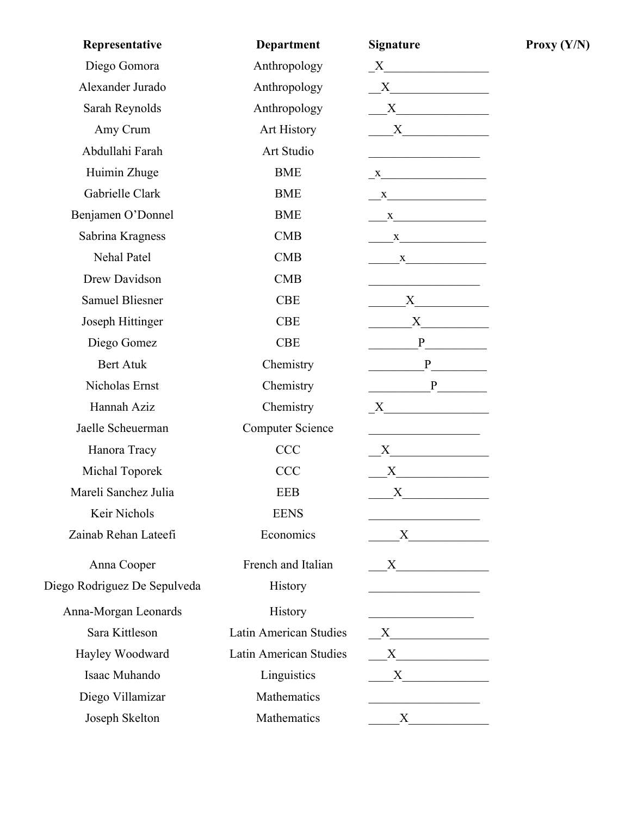| Representative               | <b>Department</b>       | <b>Signature</b>                                                                                                                                                                                                              |
|------------------------------|-------------------------|-------------------------------------------------------------------------------------------------------------------------------------------------------------------------------------------------------------------------------|
| Diego Gomora                 | Anthropology            | $X$ and $X$ and $X$ and $X$ and $X$ and $X$ and $X$ and $X$ and $X$ and $X$ and $X$ and $X$ and $X$ and $X$ and $X$ and $X$ and $X$ and $X$ and $X$ and $X$ and $X$ and $X$ and $X$ and $X$ and $X$ and $X$ and $X$ and $X$ a |
| Alexander Jurado             | Anthropology            |                                                                                                                                                                                                                               |
| Sarah Reynolds               | Anthropology            |                                                                                                                                                                                                                               |
| Amy Crum                     | Art History             |                                                                                                                                                                                                                               |
| Abdullahi Farah              | Art Studio              |                                                                                                                                                                                                                               |
| Huimin Zhuge                 | <b>BME</b>              | $X$ and $X$ and $X$ and $X$ and $X$ and $X$ and $X$ and $X$ and $X$ and $X$ and $X$ and $X$ and $X$ and $X$ and $X$ and $X$ and $X$ and $X$ and $X$ and $X$ and $X$ and $X$ and $X$ and $X$ and $X$ and $X$ and $X$ and $X$ a |
| Gabrielle Clark              | <b>BME</b>              | X                                                                                                                                                                                                                             |
| Benjamen O'Donnel            | <b>BME</b>              | $\frac{\mathbf{x}}{\mathbf{y} + \mathbf{y}}$                                                                                                                                                                                  |
| Sabrina Kragness             | <b>CMB</b>              | $\mathbf{X}$                                                                                                                                                                                                                  |
| Nehal Patel                  | <b>CMB</b>              | $\frac{X}{1}$                                                                                                                                                                                                                 |
| Drew Davidson                | <b>CMB</b>              |                                                                                                                                                                                                                               |
| <b>Samuel Bliesner</b>       | <b>CBE</b>              |                                                                                                                                                                                                                               |
| Joseph Hittinger             | <b>CBE</b>              |                                                                                                                                                                                                                               |
| Diego Gomez                  | <b>CBE</b>              |                                                                                                                                                                                                                               |
| <b>Bert Atuk</b>             | Chemistry               | P                                                                                                                                                                                                                             |
| Nicholas Ernst               | Chemistry               | P                                                                                                                                                                                                                             |
| Hannah Aziz                  | Chemistry               | $X$ and $X$ and $X$ and $X$ and $X$ and $X$ and $X$ and $X$ and $X$ and $X$ and $X$ and $X$ and $X$ and $X$ and $X$ and $X$ and $X$ and $X$ and $X$ and $X$ and $X$ and $X$ and $X$ and $X$ and $X$ and $X$ and $X$ and $X$ a |
| Jaelle Scheuerman            | <b>Computer Science</b> |                                                                                                                                                                                                                               |
| Hanora Tracy                 | <b>CCC</b>              | X                                                                                                                                                                                                                             |
| Michal Toporek               | <b>CCC</b>              |                                                                                                                                                                                                                               |
| Mareli Sanchez Julia         | <b>EEB</b>              | $\boldsymbol{\mathrm{X}}$                                                                                                                                                                                                     |
| Keir Nichols                 | <b>EENS</b>             |                                                                                                                                                                                                                               |
| Zainab Rehan Lateefi         | Economics               | $X \quad \qquad$                                                                                                                                                                                                              |
| Anna Cooper                  | French and Italian      | $X \qquad \qquad \underline{\qquad \qquad }$                                                                                                                                                                                  |
| Diego Rodriguez De Sepulveda | History                 |                                                                                                                                                                                                                               |
| Anna-Morgan Leonards         | History                 | <u> 1989 - Johann John Stein, mars an deus Frankrik (d. 1989)</u>                                                                                                                                                             |
| Sara Kittleson               | Latin American Studies  | $X$ and $X$ and $X$ and $X$ and $X$ and $X$ and $X$ and $X$ and $X$ and $X$ and $X$ and $X$ and $X$ and $X$ and $X$ and $X$ and $X$ and $X$ and $X$ and $X$ and $X$ and $X$ and $X$ and $X$ and $X$ and $X$ and $X$ and $X$ a |
| Hayley Woodward              | Latin American Studies  |                                                                                                                                                                                                                               |
| Isaac Muhando                | Linguistics             |                                                                                                                                                                                                                               |
| Diego Villamizar             | Mathematics             |                                                                                                                                                                                                                               |
| Joseph Skelton               | Mathematics             | X                                                                                                                                                                                                                             |

**Proxy**  $(Y/N)$